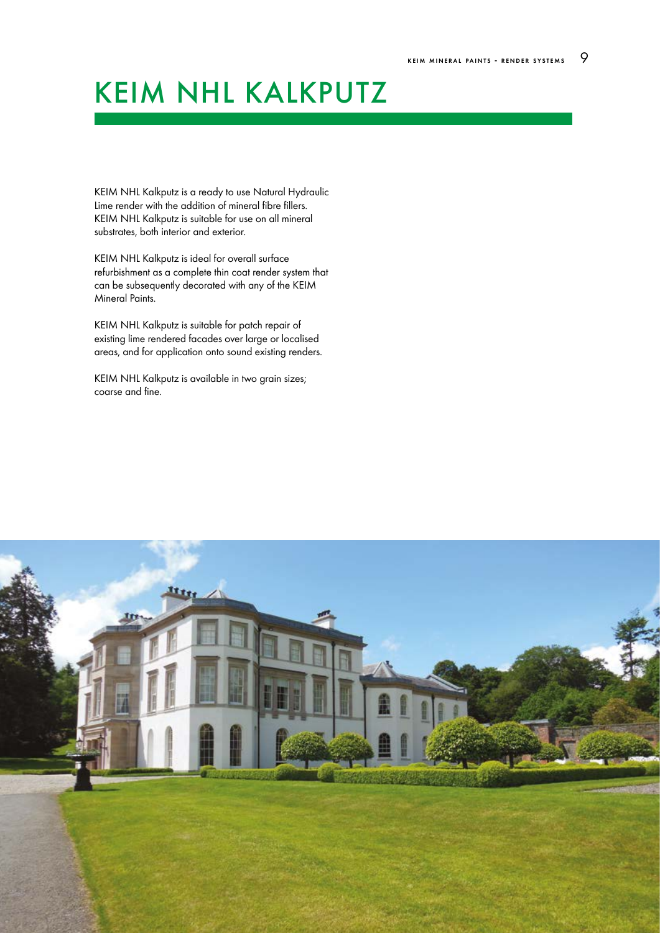# KEIM NHL KALKPUTZ

KEIM NHL Kalkputz is a ready to use Natural Hydraulic Lime render with the addition of mineral fibre fillers. KEIM NHL Kalkputz is suitable for use on all mineral substrates, both interior and exterior.

KEIM NHL Kalkputz is ideal for overall surface refurbishment as a complete thin coat render system that can be subsequently decorated with any of the KEIM Mineral Paints.

KEIM NHL Kalkputz is suitable for patch repair of existing lime rendered facades over large or localised areas, and for application onto sound existing renders.

KEIM NHL Kalkputz is available in two grain sizes; coarse and fine.